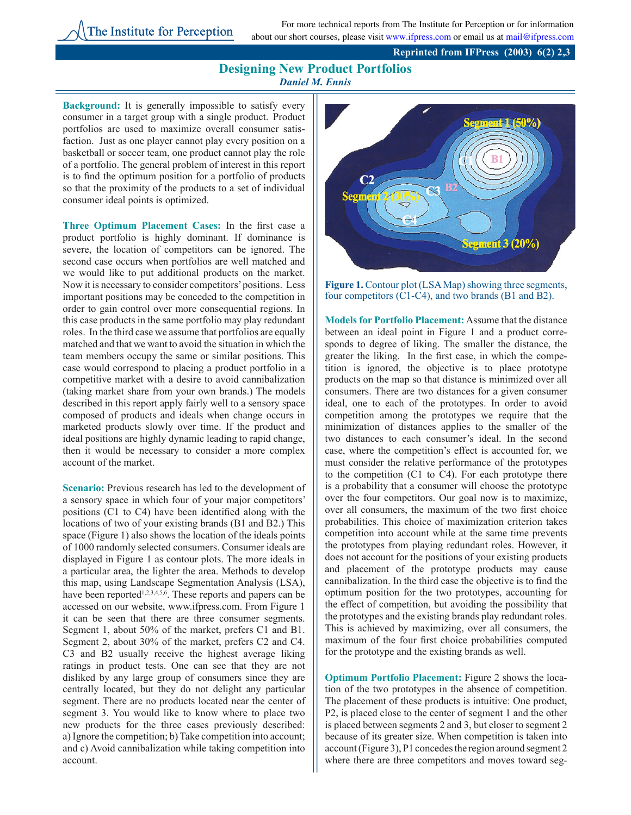For more technical reports from The Institute for Perception or for information about our short courses, please visit www.ifpress.com or email us at mail@ifpress.com

## **Designing New Product Portfolios** *Daniel M. Ennis*

**Background:** It is generally impossible to satisfy every consumer in a target group with a single product. Product portfolios are used to maximize overall consumer satisfaction. Just as one player cannot play every position on a basketball or soccer team, one product cannot play the role of a portfolio. The general problem of interest in this report is to find the optimum position for a portfolio of products so that the proximity of the products to a set of individual consumer ideal points is optimized.

**Three Optimum Placement Cases:** In the first case a product portfolio is highly dominant. If dominance is severe, the location of competitors can be ignored. The second case occurs when portfolios are well matched and we would like to put additional products on the market. Now it is necessary to consider competitors' positions. Less important positions may be conceded to the competition in order to gain control over more consequential regions. In this case products in the same portfolio may play redundant roles. In the third case we assume that portfolios are equally matched and that we want to avoid the situation in which the team members occupy the same or similar positions. This case would correspond to placing a product portfolio in a competitive market with a desire to avoid cannibalization (taking market share from your own brands.) The models described in this report apply fairly well to a sensory space composed of products and ideals when change occurs in marketed products slowly over time. If the product and ideal positions are highly dynamic leading to rapid change, then it would be necessary to consider a more complex account of the market.

**Scenario:** Previous research has led to the development of a sensory space in which four of your major competitors' positions (C1 to C4) have been identified along with the locations of two of your existing brands (B1 and B2.) This space (Figure 1) also shows the location of the ideals points of 1000 randomly selected consumers. Consumer ideals are displayed in Figure 1 as contour plots. The more ideals in a particular area, the lighter the area. Methods to develop this map, using Landscape Segmentation Analysis (LSA), have been reported<sup>1,2,3,4,5,6</sup>. These reports and papers can be accessed on our website, www.ifpress.com. From Figure 1 it can be seen that there are three consumer segments. Segment 1, about 50% of the market, prefers C1 and B1. Segment 2, about 30% of the market, prefers C2 and C4. C3 and B2 usually receive the highest average liking ratings in product tests. One can see that they are not disliked by any large group of consumers since they are centrally located, but they do not delight any particular segment. There are no products located near the center of segment 3. You would like to know where to place two new products for the three cases previously described: a) Ignore the competition; b) Take competition into account; and c) Avoid cannibalization while taking competition into account.



**Figure 1.** Contour plot (LSA Map) showing three segments, four competitors (C1-C4), and two brands (B1 and B2).

**Models for Portfolio Placement:** Assume that the distance between an ideal point in Figure 1 and a product corresponds to degree of liking. The smaller the distance, the greater the liking. In the first case, in which the competition is ignored, the objective is to place prototype products on the map so that distance is minimized over all consumers. There are two distances for a given consumer ideal, one to each of the prototypes. In order to avoid competition among the prototypes we require that the minimization of distances applies to the smaller of the two distances to each consumer's ideal. In the second case, where the competition's effect is accounted for, we must consider the relative performance of the prototypes to the competition (C1 to C4). For each prototype there is a probability that a consumer will choose the prototype over the four competitors. Our goal now is to maximize, over all consumers, the maximum of the two first choice probabilities. This choice of maximization criterion takes competition into account while at the same time prevents the prototypes from playing redundant roles. However, it does not account for the positions of your existing products and placement of the prototype products may cause cannibalization. In the third case the objective is to find the optimum position for the two prototypes, accounting for the effect of competition, but avoiding the possibility that the prototypes and the existing brands play redundant roles. This is achieved by maximizing, over all consumers, the maximum of the four first choice probabilities computed for the prototype and the existing brands as well.

**Optimum Portfolio Placement:** Figure 2 shows the location of the two prototypes in the absence of competition. The placement of these products is intuitive: One product, P2, is placed close to the center of segment 1 and the other is placed between segments 2 and 3, but closer to segment 2 because of its greater size. When competition is taken into account (Figure 3), P1 concedes the region around segment 2 where there are three competitors and moves toward seg